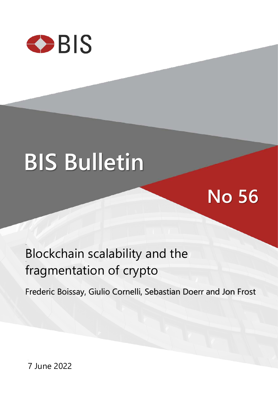

# **BIS Bulletin**

## **No 56**

### Blockchain scalability and the fragmentation of crypto

Frederic Boissay, Giulio Cornelli, Sebastian Doerr and Jon Frost

7 June 2022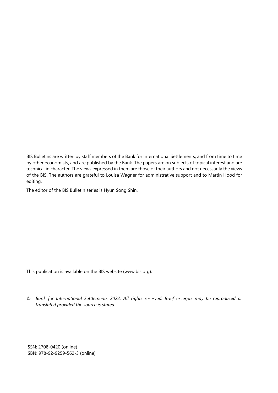BIS Bulletins are written by staff members of the Bank for International Settlements, and from time to time by other economists, and are published by the Bank. The papers are on subjects of topical interest and are technical in character. The views expressed in them are those of their authors and not necessarily the views of the BIS. The authors are grateful to Louisa Wagner for administrative support and to Martin Hood for editing.

The editor of the BIS Bulletin series is Hyun Song Shin.

This publication is available on the BIS website [\(www.bis.org\)](http://www.bis.org/).

*© Bank for International Settlements 2022. All rights reserved. Brief excerpts may be reproduced or translated provided the source is stated.*

ISSN: 2708-0420 (online) ISBN: 978-92-9259-562-3 (online)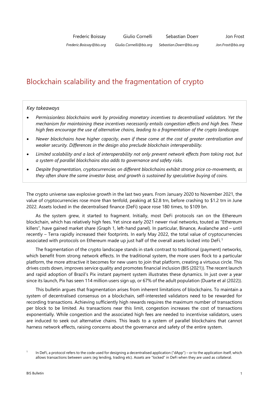#### Blockchain scalability and the fragmentation of crypto

#### *Key takeaways*

- *Permissionless blockchains work by providing monetary incentives to decentralised validators. Yet the mechanism for maintaining these incentives necessarily entails congestion effects and high fees. These high fees encourage the use of alternative chains, leading to a fragmentation of the crypto landscape.*
- *Newer blockchains have higher capacity, even if these come at the cost of greater centralisation and weaker security. Differences in the design also preclude blockchain interoperability.*
- *Limited scalability and a lack of interoperability not only prevent network effects from taking root, but a system of parallel blockchains also adds to governance and safety risks.*
- *Despite fragmentation, cryptocurrencies on different blockchains exhibit strong price co-movements, as they often share the same investor base, and growth is sustained by speculative buying of coins.*

The crypto universe saw explosive growth in the last two years. From January 2020 to November 2021, the value of cryptocurrencies rose more than tenfold, peaking at \$2.8 trn, before crashing to \$1.2 trn in June 2022. Assets locked in the decentralised finance (DeFi) space rose 180 times, to \$109 bn.

As the system grew, it started to fragment. Initially, most DeFi protocols ran on the Ethereum blockchain, which has relatively high fees. Yet since early 2021 newer rival networks, touted as "Ethereum killers", have gained market share (Graph 1, left-hand panel). In particular, Binance, Avalanche and – until recently – Terra rapidly increased their footprints. In early May 2022, the total value of cryptocurrencies associated with protocols on Ethereum made up just half of the overall assets locked into DeFi. [1](#page-2-0)

The fragmentation of the crypto landscape stands in stark contrast to traditional (payment) networks, which benefit from strong network effects. In the traditional system, the more users flock to a particular platform, the more attractive it becomes for new users to join that platform, creating a virtuous circle. This drives costs down, improves service quality and promotes financial inclusion (BIS (2021)). The recent launch and rapid adoption of Brazil's Pix instant payment system illustrates these dynamics. In just over a year since its launch, Pix has seen 114 million users sign up, or 67% of the adult population (Duarte et al (2022)).

This bulletin argues that fragmentation arises from inherent limitations of blockchains. To maintain a system of decentralised consensus on a blockchain, self-interested validators need to be rewarded for recording transactions. Achieving sufficiently high rewards requires the maximum number of transactions per block to be limited. As transactions near this limit, congestion increases the cost of transactions exponentially. While congestion and the associated high fees are needed to incentivise validators, users are induced to seek out alternative chains. This leads to a system of parallel blockchains that cannot harness network effects, raising concerns about the governance and safety of the entire system.

<span id="page-2-0"></span>In DeFi, a protocol refers to the code used for designing a decentralised application ("dApp") – or to the application itself, which allows transactions between users (eg lending, trading etc). Assets are "locked" in DeFi when they are used as collateral.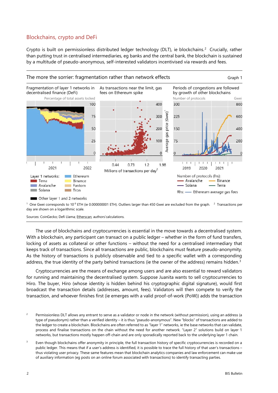#### Blockchains, crypto and DeFi

Crypto is built on permissionless distributed ledger technology (DLT), ie blockchains. [2](#page-3-0) Crucially, rather than putting trust in centralised intermediaries, eg banks and the central bank, the blockchain is sustained by a multitude of pseudo-anonymous, self-interested validators incentivised via rewards and fees.



 $^1$  One Gwei corresponds to 10<sup>-9</sup> ETH (ie 0.000000001 ETH). Outliers larger than 450 Gwei are excluded from the graph.  $^{-2}$  Transactions per day are shown on a logarithmic scale.

Sources: CoinGecko; Defi Llama[; Etherscan;](https://etherscan.io/) authors'calculations.

The use of blockchains and cryptocurrencies is essential in the move towards a decentralised system. With a blockchain, any participant can transact on a public ledger – whether in the form of fund transfers, locking of assets as collateral or other functions – without the need for a centralised intermediary that keeps track of transactions. Since all transactions are public, blockchains must feature pseudo-anonymity. As the history of transactions is publicly observable and tied to a specific wallet with a corresponding address, the true identity of the party behind transactions (ie the owner of the address) remains hidden.<sup>[3](#page-3-1)</sup>

Cryptocurrencies are the means of exchange among users and are also essential to reward validators for running and maintaining the decentralised system. Suppose Juanita wants to sell cryptocurrencies to Hiro. The buyer, Hiro (whose identity is hidden behind his cryptographic digital signature), would first broadcast the transaction details (addresses, amount, fees). Validators will then compete to verify the transaction, and whoever finishes first (ie emerges with a valid proof-of-work (PoW)) adds the transaction

<span id="page-3-0"></span><sup>&</sup>lt;sup>2</sup> Permissionless DLT allows any entrant to serve as a validator or node in the network (without permission), using an address (a type of pseudonym) rather than a verified identity – it is thus "pseudo-anonymous". New "blocks" of transactions are added to the ledger to create a blockchain. Blockchains are often referred to as "layer 1" networks, ie the base networks that can validate, process and finalise transactions on the chain without the need for another network. "Layer 2" solutions build on layer 1 networks, but transactions mostly happen off-chain and are only sporadically reported back to the underlying layer 1 chain.

<span id="page-3-1"></span><sup>&</sup>lt;sup>3</sup> Even though blockchains offer anonymity in principle, the full transaction history of specific cryptocurrencies is recorded on a public ledger. This means that if a user's address is identified, it is possible to trace the full history of that user's transactions – thus violating user privacy. These same features mean that blockchain analytics companies and law enforcement can make use of auxiliary information (eg posts on an online forum associated with transactions) to identify transacting parties.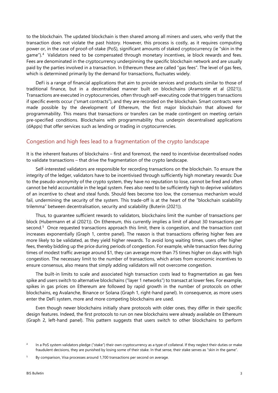to the blockchain. The updated blockchain is then shared among all miners and users, who verify that the transaction does not violate the past history. However, this process is costly, as it requires computing power or, in the case of proof-of-stake (PoS), significant amounts of staked cryptocurrency (ie "skin in the game"). [4](#page-4-0) Validators need to be compensated through monetary incentives, ie block rewards and fees. Fees are denominated in the cryptocurrency underpinning the specific blockchain network and are usually paid by the parties involved in a transaction. In Ethereum these are called "gas fees". The level of gas fees, which is determined primarily by the demand for transactions, fluctuates widely.

DeFi is a range of financial applications that aim to provide services and products similar to those of traditional finance, but in a decentralised manner built on blockchains (Aramonte et al (2021)). Transactions are executed in cryptocurrencies, often through self-executing code that triggers transactions if specific events occur ("smart contracts"), and they are recorded on the blockchain. Smart contracts were made possible by the development of Ethereum, the first major blockchain that allowed for programmability. This means that transactions or transfers can be made contingent on meeting certain pre-specified conditions. Blockchains with programmability thus underpin decentralised applications (dApps) that offer services such as lending or trading in cryptocurrencies.

#### Congestion and high fees lead to a fragmentation of the crypto landscape

It is the inherent features of blockchains – first and foremost, the need to incentivise decentralised nodes to validate transactions – that drive the fragmentation of the crypto landscape.

Self-interested validators are responsible for recording transactions on the blockchain. To ensure the integrity of the ledger, validators have to be incentivised through sufficiently high monetary rewards: Due to the pseudo-anonymity of the crypto system, they have no reputation to lose, cannot be fired and often cannot be held accountable in the legal system. Fees also need to be sufficiently high to deprive validators of an incentive to cheat and steal funds. Should fees become too low, the consensus mechanism would fail, undermining the security of the system. This trade-off is at the heart of the "blockchain scalability trilemma" between decentralisation, security and scalability (Buterin (2021)).

Thus, to guarantee sufficient rewards to validators, blockchains limit the number of transactions per block (Hubermann et al (2021)). On Ethereum, this currently implies a limit of about 30 transactions per second.<sup>[5](#page-4-1)</sup> Once requested transactions approach this limit, there is congestion, and the transaction cost increases exponentially (Graph 1, centre panel). The reason is that transactions offering higher fees are more likely to be validated, as they yield higher rewards. To avoid long waiting times, users offer higher fees, thereby bidding up the price during periods of congestion. For example, while transaction fees during times of modest traffic average around \$1, they can average more than 75 times higher on days with high congestion. The necessary limit to the number of transactions, which arises from economic incentives to ensure consensus, also means that simply adding validators will not overcome congestion.

The built-in limits to scale and associated high transaction costs lead to fragmentation as gas fees spike and users switch to alternative blockchains ("layer 1 networks") to transact at lower fees. For example, spikes in gas prices on Ethereum are followed by rapid growth in the number of protocols on other blockchains, eg Avalanche, Binance or Solana (Graph 1, right-hand panel). In consequence, as more users enter the DeFi system, more and more competing blockchains are used.

Even though newer blockchains initially share protocols with older ones, they differ in their specific design features. Indeed, the first protocols to run on new blockchains were already available on Ethereum (Graph 2, left-hand panel). This pattern suggests that users switch to other blockchains to perform

<span id="page-4-0"></span><sup>&</sup>lt;sup>4</sup> In a PoS system validators pledge ("stake") their own cryptocurrency as a type of collateral. If they neglect their duties or make fraudulent decisions, they are punished by losing some of their stake. In that sense, their stake serves as "skin in the game".

<span id="page-4-1"></span><sup>&</sup>lt;sup>5</sup> By comparison, Visa processes around 1,700 transactions per second on average.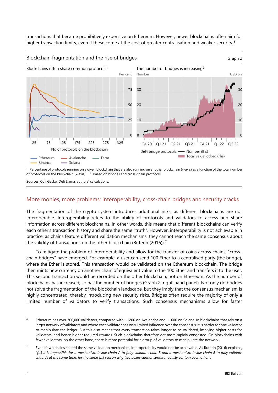transactions that became prohibitively expensive on Ethereum. However, newer blockchains often aim for higher transaction limits, even if these come at the cost of greater centralisation and weaker security.<sup>[6](#page-5-0)</sup>



 $^1$  Percentage of protocols running on a given blockchain that are also running on another blockchain (y-axis) as a function of the total number of protocols on the blockchain (x-axis). <sup>2</sup> <sup>2</sup> Based on bridges and cross-chain protocols.

Sources: CoinGecko; Defi Llama; authors' calculations.

#### More monies, more problems: interoperability, cross-chain bridges and security cracks

The fragmentation of the crypto system introduces additional risks, as different blockchains are not interoperable. Interoperability refers to the ability of protocols and validators to access and share information across different blockchains. In other words, this means that different blockchains can verify each other's transaction history and share the same "truth". However, interoperability is not achievable in practice: as chains feature different validation mechanisms, they cannot reach the same consensus about the validity of transactions on the other blockchain (Buterin (2016)).<sup>[7](#page-5-1)</sup>

To mitigate the problem of interoperability and allow for the transfer of coins across chains, "crosschain bridges" have emerged. For example, a user can send 100 Ether to a centralised party (the bridge), where the Ether is stored. This transaction would be validated on the Ethereum blockchain. The bridge then mints new currency on another chain of equivalent value to the 100 Ether and transfers it to the user. This second transaction would be recorded on the other blockchain, not on Ethereum. As the number of blockchains has increased, so has the number of bridges (Graph 2, right-hand panel). Not only do bridges not solve the fragmentation of the blockchain landscape, but they imply that the consensus mechanism is highly concentrated, thereby introducing new security risks. Bridges often require the majority of only a limited number of validators to verify transactions. Such consensus mechanisms allow for faster

<span id="page-5-0"></span><sup>&</sup>lt;sup>6</sup> Ethereum has over 300,000 validators, compared with ~1200 on Avalanche and ~1600 on Solana. In blockchains that rely on a larger network of validators and where each validator has only limited influence over the consensus, it is harder for one validator to manipulate the ledger. But this also means that every transaction takes longer to be validated, implying higher costs for validators, and hence higher required rewards. Such blockchains therefore get more rapidly congested. On blockchains with fewer validators, on the other hand, there is more potential for a group of validators to manipulate the network.

<span id="page-5-1"></span> $7$  Even if two chains shared the same validation mechanism, interoperability would not be achievable. As Buterin (2016) explains, "*[…] it is impossible for a mechanism inside chain A to fully validate chain B and a mechanism inside chain B to fully validate chain A at the same time, for the same […] reason why two boxes cannot simultaneously contain each other*".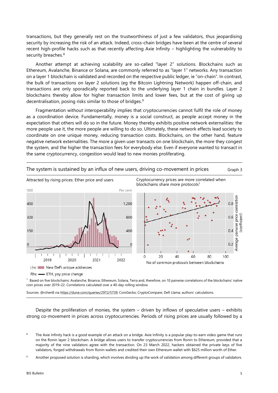transactions, but they generally rest on the trustworthiness of just a few validators, thus jeopardising security by increasing the risk of an attack. Indeed, cross-chain bridges have been at the centre of several recent high-profile hacks such as that recently affecting Axie Infinity – highlighting the vulnerability to security breaches.<sup>[8](#page-6-0)</sup>

Another attempt at achieving scalability are so-called "layer 2" solutions. Blockchains such as Ethereum, Avalanche, Binance or Solana, are commonly referred to as "layer 1" networks. Any transaction on a layer 1 blockchain is validated and recorded on the respective public ledger, ie "on-chain". In contrast, the bulk of transactions on layer 2 solutions (eg the Bitcoin Lightning Network) happen off-chain, and transactions are only sporadically reported back to the underlying layer 1 chain in bundles. Layer 2 blockchains thereby allow for higher transaction limits and lower fees, but at the cost of giving up decentralisation, posing risks similar to those of bridges.<sup>[9](#page-6-1)</sup>

Fragmentation without interoperability implies that cryptocurrencies cannot fulfil the role of money as a coordination device. Fundamentally, money is a social construct, as people accept money in the expectation that others will do so in the future. Money thereby exhibits positive network externalities: the more people use it, the more people are willing to do so. Ultimately, these network effects lead society to coordinate on one unique money, reducing transaction costs. Blockchains, on the other hand, feature negative network externalities. The more a given user transacts on one blockchain, the more they congest the system, and the higher the transaction fees for everybody else. Even if everyone wanted to transact in the same cryptocurrency, congestion would lead to new monies proliferating.



The system is sustained by an influx of new users, driving co-movement in prices Graph 3

<sup>1</sup> Based on five blockchains: Avalanche, Binance, Ethereum, Solana, Terra and, therefore, on 10 pairwise correlations of the blockchains' native coin prices over 2019–22. Correlations calculated over a 40-day rolling window.

Sources: @rchen8 via https://dune.com/queries/2972/5739; CoinGecko; CryptoCompare; Defi Llama; authors' calculations.

Despite the proliferation of monies, the system – driven by inflows of speculative users – exhibits strong co-movement in prices across cryptocurrencies. Periods of rising prices are usually followed by a

<span id="page-6-0"></span>The Axie Infinity hack is a good example of an attack on a bridge. Axie Infinity is a popular play-to-earn video game that runs on the Ronin layer 2 blockchain. A bridge allows users to transfer cryptocurrencies from Ronin to Ethereum, provided that a majority of the nine validators agree with the transaction. On 23 March 2022, hackers obtained the private keys of five validators, forged withdrawals from Ronin wallets and credited their own Ethereum wallet with \$625 million worth of Ether.

<span id="page-6-1"></span>Another proposed solution is sharding, which involves dividing up the work of validation among different groups of validators.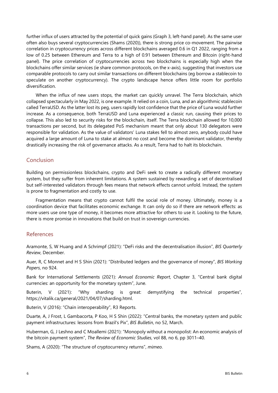further influx of users attracted by the potential of quick gains (Graph 3, left-hand panel). As the same user often also buys several cryptocurrencies (Shams (2020)), there is strong price co-movement. The pairwise correlation in cryptocurrency prices across different blockchains averaged 0.6 in Q1 2022, ranging from a low of 0.25 between Ethereum and Terra to a high of 0.91 between Ethereum and Bitcoin (right-hand panel). The price correlation of cryptocurrencies across two blockchains is especially high when the blockchains offer similar services (ie share common protocols, on the x-axis), suggesting that investors use comparable protocols to carry out similar transactions on different blockchains (eg borrow a stablecoin to speculate on another cryptocurrency). The crypto landscape hence offers little room for portfolio diversification.

When the influx of new users stops, the market can quickly unravel. The Terra blockchain, which collapsed spectacularly in May 2022, is one example. It relied on a coin, Luna, and an algorithmic stablecoin called TerraUSD. As the latter lost its peg, users rapidly lost confidence that the price of Luna would further increase. As a consequence, both TerraUSD and Luna experienced a classic run, causing their prices to collapse. This also led to security risks for the blockchain, itself. The Terra blockchain allowed for 10,000 transactions per second, but its delegated PoS mechanism meant that only about 130 delegators were responsible for validation. As the value of validators' Luna stakes fell to almost zero, anybody could have acquired a large amount of Luna to stake at almost no cost and become the dominant validator, thereby drastically increasing the risk of governance attacks. As a result, Terra had to halt its blockchain.

#### Conclusion

Building on permissionless blockchains, crypto and DeFi seek to create a radically different monetary system, but they suffer from inherent limitations. A system sustained by rewarding a set of decentralised but self-interested validators through fees means that network effects cannot unfold. Instead, the system is prone to fragmentation and costly to use.

Fragmentation means that crypto cannot fulfil the social role of money. Ultimately, money is a coordination device that facilitates economic exchange. It can only do so if there are network effects: as more users use one type of money, it becomes more attractive for others to use it. Looking to the future, there is more promise in innovations that build on trust in sovereign currencies.

#### References

Aramonte, S, W Huang and A Schrimpf (2021): "DeFi risks and the decentralisation illusion", *BIS Quarterly Review*, December.

Auer, R, C Monnet and H S Shin (2021): "Distributed ledgers and the governance of money", *BIS Working Papers*, no 924.

Bank for International Settlements (2021): *Annual Economic Report*, Chapter 3, "Central bank digital currencies: an opportunity for the monetary system", June.

Buterin, V (2021): "Why sharding is great: demystifying the technical properties", [https://vitalik.ca/general/2021/04/07/sharding.html.](https://vitalik.ca/general/2021/04/07/sharding.html)

Buterin, V (2016): "Chain interoperability", R3 Reports.

Duarte, A, J Frost, L Gambacorta, P Koo, H S Shin (2022): "Central banks, the monetary system and public payment infrastructures: lessons from Brazil's Pix", *BIS Bulletin*, no 52, March.

Huberman, G, J Leshno and C Moallemi (2021): "Monopoly without a monopolist: An economic analysis of the bitcoin payment system", *The Review of Economic Studies*, vol 88, no 6, pp 3011–40.

Shams, A (2020): ["The structure of cryptocurrency returns"](https://papers.ssrn.com/sol3/papers.cfm?abstract_id=3604322), *mimeo*.